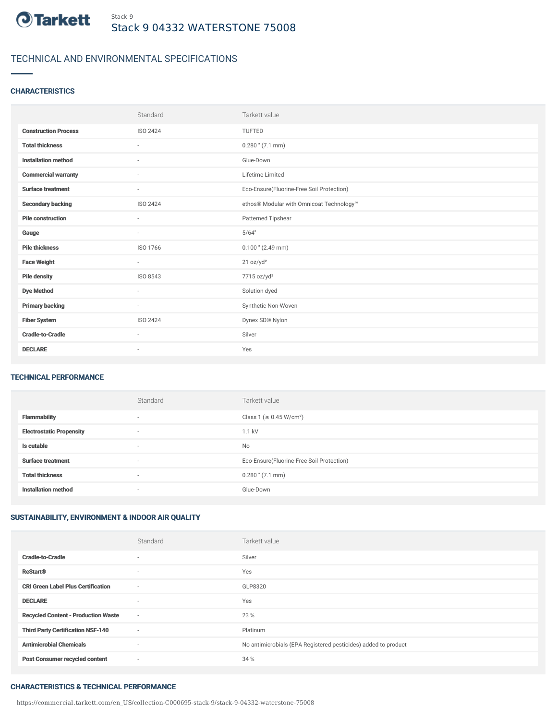

# TECHNICAL AND ENVIRONMENTAL SPECIFICATIONS

## **CHARACTERISTICS**

|                             | Standard                 | Tarkett value                             |
|-----------------------------|--------------------------|-------------------------------------------|
| <b>Construction Process</b> | ISO 2424                 | TUFTED                                    |
| <b>Total thickness</b>      | $\sim$                   | $0.280$ " $(7.1$ mm)                      |
| <b>Installation method</b>  | ٠                        | Glue-Down                                 |
| <b>Commercial warranty</b>  | $\overline{\phantom{a}}$ | Lifetime Limited                          |
| <b>Surface treatment</b>    | $\overline{\phantom{a}}$ | Eco-Ensure(Fluorine-Free Soil Protection) |
| <b>Secondary backing</b>    | <b>ISO 2424</b>          | ethos® Modular with Omnicoat Technology™  |
| <b>Pile construction</b>    | $\sim$                   | Patterned Tipshear                        |
| Gauge                       | $\sim$                   | 5/64"                                     |
| <b>Pile thickness</b>       | ISO 1766                 | $0.100$ " (2.49 mm)                       |
| <b>Face Weight</b>          | $\overline{\phantom{a}}$ | 21 oz/yd <sup>2</sup>                     |
| <b>Pile density</b>         | ISO 8543                 | 7715 oz/yd <sup>3</sup>                   |
| <b>Dye Method</b>           | $\sim$                   | Solution dyed                             |
| <b>Primary backing</b>      | $\sim$                   | Synthetic Non-Woven                       |
| <b>Fiber System</b>         | ISO 2424                 | Dynex SD® Nylon                           |
| <b>Cradle-to-Cradle</b>     | $\sim$                   | Silver                                    |
| <b>DECLARE</b>              | ٠                        | Yes                                       |

### TECHNICAL PERFORMANCE

|                                 | Standard                 | Tarkett value                             |
|---------------------------------|--------------------------|-------------------------------------------|
| <b>Flammability</b>             | $\overline{\phantom{a}}$ | Class 1 (≥ 0.45 W/cm <sup>2</sup> )       |
| <b>Electrostatic Propensity</b> | $\overline{\phantom{a}}$ | 1.1 kV                                    |
| Is cutable                      | $\overline{\phantom{a}}$ | <b>No</b>                                 |
| <b>Surface treatment</b>        | $\overline{\phantom{a}}$ | Eco-Ensure(Fluorine-Free Soil Protection) |
| <b>Total thickness</b>          | $\overline{\phantom{a}}$ | $0.280$ " $(7.1$ mm)                      |
| <b>Installation method</b>      | $\overline{\phantom{a}}$ | Glue-Down                                 |

# SUSTAINABILITY, ENVIRONMENT & INDOOR AIR QUALITY

|                                            | Standard                 | Tarkett value                                                  |
|--------------------------------------------|--------------------------|----------------------------------------------------------------|
| <b>Cradle-to-Cradle</b>                    | $\overline{\phantom{a}}$ | Silver                                                         |
| <b>ReStart®</b>                            | ٠                        | Yes                                                            |
| <b>CRI Green Label Plus Certification</b>  | ٠                        | GLP8320                                                        |
| <b>DECLARE</b>                             | $\overline{\phantom{a}}$ | Yes                                                            |
| <b>Recycled Content - Production Waste</b> | $\sim$                   | 23 %                                                           |
| <b>Third Party Certification NSF-140</b>   | ٠                        | Platinum                                                       |
| <b>Antimicrobial Chemicals</b>             | ٠                        | No antimicrobials (EPA Registered pesticides) added to product |
| <b>Post Consumer recycled content</b>      | ٠                        | 34 %                                                           |

#### CHARACTERISTICS & TECHNICAL PERFORMANCE